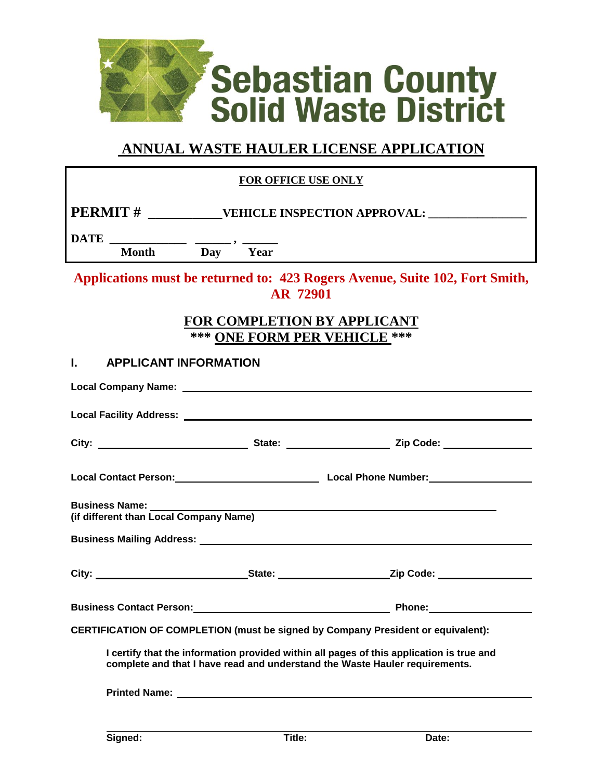

# **ANNUAL WASTE HAULER LICENSE APPLICATION**

| <b>FOR OFFICE USE ONLY</b>                                                                                                                                              |  |                          |  |  |  |  |  |
|-------------------------------------------------------------------------------------------------------------------------------------------------------------------------|--|--------------------------|--|--|--|--|--|
|                                                                                                                                                                         |  |                          |  |  |  |  |  |
| Day Year<br><b>Month</b>                                                                                                                                                |  |                          |  |  |  |  |  |
| Applications must be returned to: 423 Rogers Avenue, Suite 102, Fort Smith,<br>AR 72901                                                                                 |  |                          |  |  |  |  |  |
| <b>FOR COMPLETION BY APPLICANT</b><br>*** ONE FORM PER VEHICLE ***                                                                                                      |  |                          |  |  |  |  |  |
| <b>APPLICANT INFORMATION</b><br>L.                                                                                                                                      |  |                          |  |  |  |  |  |
|                                                                                                                                                                         |  |                          |  |  |  |  |  |
|                                                                                                                                                                         |  |                          |  |  |  |  |  |
|                                                                                                                                                                         |  |                          |  |  |  |  |  |
|                                                                                                                                                                         |  |                          |  |  |  |  |  |
| <b>Business Name:</b> ________<br>(if different than Local Company Name)                                                                                                |  |                          |  |  |  |  |  |
|                                                                                                                                                                         |  |                          |  |  |  |  |  |
|                                                                                                                                                                         |  |                          |  |  |  |  |  |
| <b>Business Contact Person:</b>                                                                                                                                         |  | <b>Example 20 Phone:</b> |  |  |  |  |  |
| <b>CERTIFICATION OF COMPLETION (must be signed by Company President or equivalent):</b>                                                                                 |  |                          |  |  |  |  |  |
| I certify that the information provided within all pages of this application is true and<br>complete and that I have read and understand the Waste Hauler requirements. |  |                          |  |  |  |  |  |
|                                                                                                                                                                         |  |                          |  |  |  |  |  |
|                                                                                                                                                                         |  |                          |  |  |  |  |  |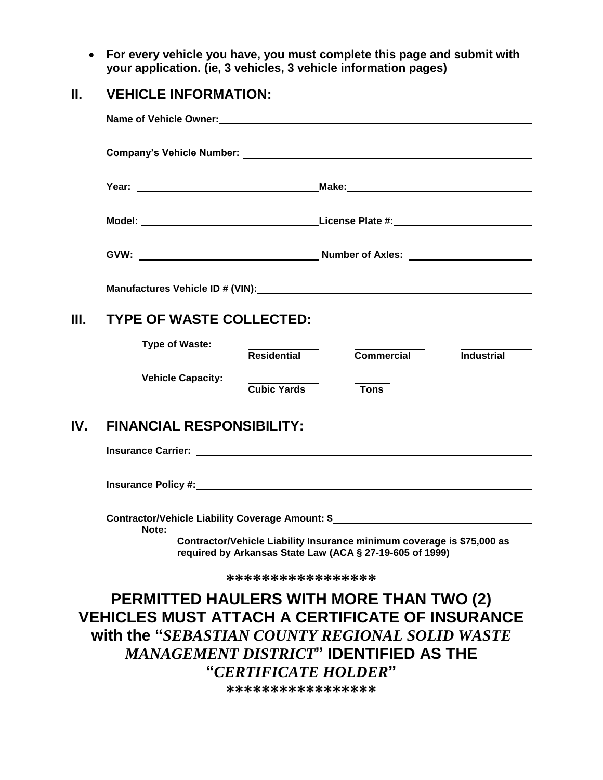**For every vehicle you have, you must complete this page and submit with your application. (ie, 3 vehicles, 3 vehicle information pages)**

#### **II. VEHICLE INFORMATION:**

|                                                                                                           |                                                                                                                                     | Manufactures Vehicle ID # (VIN): Manufactures Vehicle ID # (VIN): |  |  |  |  |  |
|-----------------------------------------------------------------------------------------------------------|-------------------------------------------------------------------------------------------------------------------------------------|-------------------------------------------------------------------|--|--|--|--|--|
| III. -                                                                                                    | <b>TYPE OF WASTE COLLECTED:</b>                                                                                                     |                                                                   |  |  |  |  |  |
|                                                                                                           | <b>Type of Waste:</b>                                                                                                               | Residential<br>Commercial Industrial                              |  |  |  |  |  |
|                                                                                                           | <b>Vehicle Capacity:</b>                                                                                                            | <b>Cubic Yards</b><br><b>Tons</b>                                 |  |  |  |  |  |
| IV.                                                                                                       | <b>FINANCIAL RESPONSIBILITY:</b>                                                                                                    |                                                                   |  |  |  |  |  |
|                                                                                                           |                                                                                                                                     |                                                                   |  |  |  |  |  |
|                                                                                                           |                                                                                                                                     |                                                                   |  |  |  |  |  |
|                                                                                                           | Contractor/Vehicle Liability Coverage Amount: \$<br>Note:<br>Contractor/Vehicle Liability Insurance minimum coverage is \$75,000 as |                                                                   |  |  |  |  |  |
| required by Arkansas State Law (ACA § 27-19-605 of 1999)                                                  |                                                                                                                                     |                                                                   |  |  |  |  |  |
| *****************                                                                                         |                                                                                                                                     |                                                                   |  |  |  |  |  |
| <b>PERMITTED HAULERS WITH MORE THAN TWO (2)</b><br><b>VEHICLES MUST ATTACH A CERTIFICATE OF INSURANCE</b> |                                                                                                                                     |                                                                   |  |  |  |  |  |
| with the "SEBASTIAN COUNTY REGIONAL SOLID WASTE                                                           |                                                                                                                                     |                                                                   |  |  |  |  |  |
| <b>MANAGEMENT DISTRICT" IDENTIFIED AS THE</b>                                                             |                                                                                                                                     |                                                                   |  |  |  |  |  |
|                                                                                                           | "CERTIFICATE HOLDER"                                                                                                                |                                                                   |  |  |  |  |  |

**\*\*\*\*\*\*\*\*\*\*\*\*\*\*\*\*\***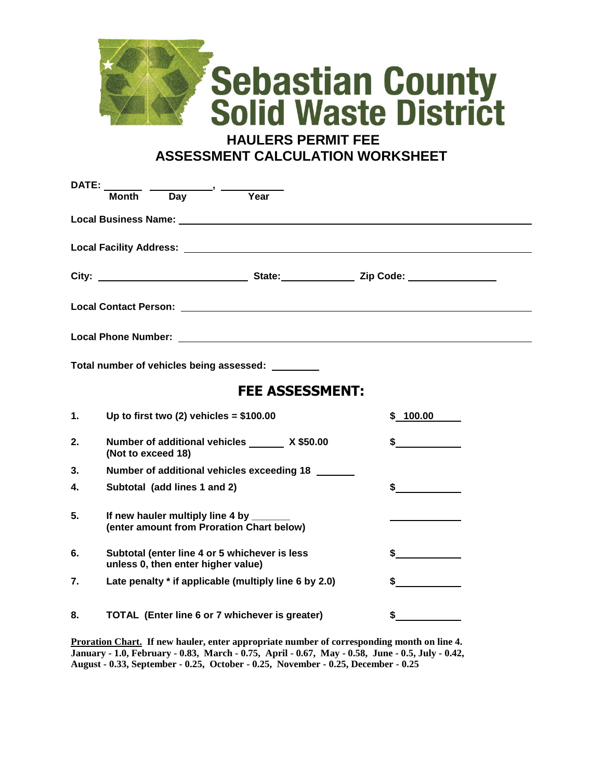

**HAULERS PERMIT FEE ASSESSMENT CALCULATION WORKSHEET**

| <b>DATE:</b>           |                                                       |                                                                                      |                                                                                                                                                                                                                                                                                                                                                                                                                      |          |  |  |  |
|------------------------|-------------------------------------------------------|--------------------------------------------------------------------------------------|----------------------------------------------------------------------------------------------------------------------------------------------------------------------------------------------------------------------------------------------------------------------------------------------------------------------------------------------------------------------------------------------------------------------|----------|--|--|--|
|                        | Month                                                 | $\overline{$ Day $\overline{)}$ $\overline{)}$                                       | $\overline{Y}$ ear                                                                                                                                                                                                                                                                                                                                                                                                   |          |  |  |  |
|                        |                                                       |                                                                                      |                                                                                                                                                                                                                                                                                                                                                                                                                      |          |  |  |  |
|                        |                                                       |                                                                                      |                                                                                                                                                                                                                                                                                                                                                                                                                      |          |  |  |  |
|                        |                                                       |                                                                                      |                                                                                                                                                                                                                                                                                                                                                                                                                      |          |  |  |  |
|                        |                                                       |                                                                                      |                                                                                                                                                                                                                                                                                                                                                                                                                      |          |  |  |  |
|                        |                                                       |                                                                                      |                                                                                                                                                                                                                                                                                                                                                                                                                      |          |  |  |  |
|                        |                                                       |                                                                                      |                                                                                                                                                                                                                                                                                                                                                                                                                      |          |  |  |  |
|                        |                                                       |                                                                                      | Total number of vehicles being assessed:                                                                                                                                                                                                                                                                                                                                                                             |          |  |  |  |
| <b>FEE ASSESSMENT:</b> |                                                       |                                                                                      |                                                                                                                                                                                                                                                                                                                                                                                                                      |          |  |  |  |
| 1.                     |                                                       | Up to first two (2) vehicles = $$100.00$                                             |                                                                                                                                                                                                                                                                                                                                                                                                                      | \$100.00 |  |  |  |
| 2.                     | (Not to exceed 18)                                    |                                                                                      | Number of additional vehicles ______ X \$50.00                                                                                                                                                                                                                                                                                                                                                                       | $\sim$   |  |  |  |
| 3.                     | Number of additional vehicles exceeding 18            |                                                                                      |                                                                                                                                                                                                                                                                                                                                                                                                                      |          |  |  |  |
| 4.                     |                                                       | Subtotal (add lines 1 and 2)                                                         | \$                                                                                                                                                                                                                                                                                                                                                                                                                   |          |  |  |  |
| 5.                     |                                                       | If new hauler multiply line 4 by ______<br>(enter amount from Proration Chart below) |                                                                                                                                                                                                                                                                                                                                                                                                                      |          |  |  |  |
| 6.                     |                                                       | Subtotal (enter line 4 or 5 whichever is less<br>unless 0, then enter higher value)  | $\frac{1}{\sqrt{1-\frac{1}{2}}\sqrt{1-\frac{1}{2}}\sqrt{1-\frac{1}{2}}\sqrt{1-\frac{1}{2}}\sqrt{1-\frac{1}{2}}\sqrt{1-\frac{1}{2}}\sqrt{1-\frac{1}{2}}\sqrt{1-\frac{1}{2}}\sqrt{1-\frac{1}{2}}\sqrt{1-\frac{1}{2}}\sqrt{1-\frac{1}{2}}\sqrt{1-\frac{1}{2}}\sqrt{1-\frac{1}{2}}\sqrt{1-\frac{1}{2}}\sqrt{1-\frac{1}{2}}\sqrt{1-\frac{1}{2}}\sqrt{1-\frac{1}{2}}\sqrt{1-\frac{1}{2}}\sqrt{1-\frac{1}{2}}\sqrt{1-\frac$ |          |  |  |  |
| 7.                     | Late penalty * if applicable (multiply line 6 by 2.0) |                                                                                      |                                                                                                                                                                                                                                                                                                                                                                                                                      |          |  |  |  |
| 8.                     | TOTAL (Enter line 6 or 7 whichever is greater)        |                                                                                      |                                                                                                                                                                                                                                                                                                                                                                                                                      | \$       |  |  |  |

**Proration Chart. If new hauler, enter appropriate number of corresponding month on line 4. January - 1.0, February - 0.83, March - 0.75, April - 0.67, May - 0.58, June - 0.5, July - 0.42, August - 0.33, September - 0.25, October - 0.25, November - 0.25, December - 0.25**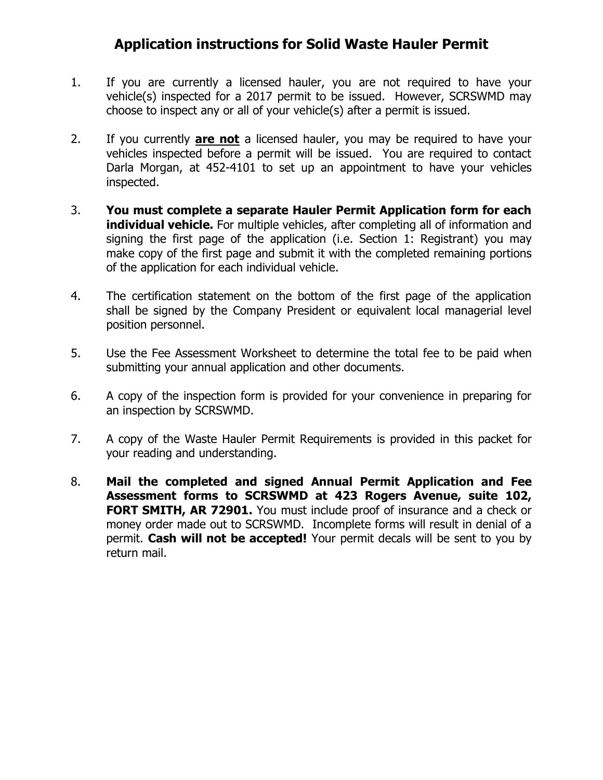## **Application instructions for Solid Waste Hauler Permit**

- 1. If you are currently a licensed hauler, you are not required to have your vehicle(s) inspected for a 2017 permit to be issued. However, SCRSWMD may choose to inspect any or all of your vehicle(s) after a permit is issued.
- 2. If you currently **are not** a licensed hauler, you may be required to have your vehicles inspected before a permit will be issued. You are required to contact Darla Morgan, at 452-4101 to set up an appointment to have your vehicles inspected.
- 3. **You must complete a separate Hauler Permit Application form for each individual vehicle.** For multiple vehicles, after completing all of information and signing the first page of the application (i.e. Section 1: Registrant) you may make copy of the first page and submit it with the completed remaining portions of the application for each individual vehicle.
- 4. The certification statement on the bottom of the first page of the application shall be signed by the Company President or equivalent local managerial level position personnel.
- 5. Use the Fee Assessment Worksheet to determine the total fee to be paid when submitting your annual application and other documents.
- 6. A copy of the inspection form is provided for your convenience in preparing for an inspection by SCRSWMD.
- 7. A copy of the Waste Hauler Permit Requirements is provided in this packet for your reading and understanding.
- 8. **Mail the completed and signed Annual Permit Application and Fee Assessment forms to SCRSWMD at 423 Rogers Avenue, suite 102, FORT SMITH, AR 72901.** You must include proof of insurance and a check or money order made out to SCRSWMD. Incomplete forms will result in denial of a permit. **Cash will not be accepted!** Your permit decals will be sent to you by return mail.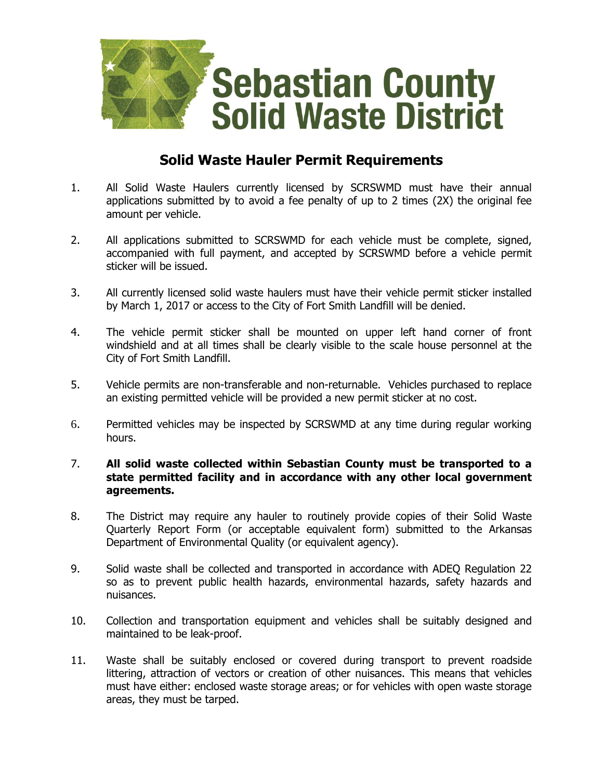

#### **Solid Waste Hauler Permit Requirements**

- 1. All Solid Waste Haulers currently licensed by SCRSWMD must have their annual applications submitted by to avoid a fee penalty of up to 2 times (2X) the original fee amount per vehicle.
- 2. All applications submitted to SCRSWMD for each vehicle must be complete, signed, accompanied with full payment, and accepted by SCRSWMD before a vehicle permit sticker will be issued.
- 3. All currently licensed solid waste haulers must have their vehicle permit sticker installed by March 1, 2017 or access to the City of Fort Smith Landfill will be denied.
- 4. The vehicle permit sticker shall be mounted on upper left hand corner of front windshield and at all times shall be clearly visible to the scale house personnel at the City of Fort Smith Landfill.
- 5. Vehicle permits are non-transferable and non-returnable. Vehicles purchased to replace an existing permitted vehicle will be provided a new permit sticker at no cost.
- 6. Permitted vehicles may be inspected by SCRSWMD at any time during regular working hours.

#### 7. **All solid waste collected within Sebastian County must be transported to a state permitted facility and in accordance with any other local government agreements.**

- 8. The District may require any hauler to routinely provide copies of their Solid Waste Quarterly Report Form (or acceptable equivalent form) submitted to the Arkansas Department of Environmental Ouality (or equivalent agency).
- 9. Solid waste shall be collected and transported in accordance with ADEQ Regulation 22 so as to prevent public health hazards, environmental hazards, safety hazards and nuisances.
- 10. Collection and transportation equipment and vehicles shall be suitably designed and maintained to be leak-proof.
- 11. Waste shall be suitably enclosed or covered during transport to prevent roadside littering, attraction of vectors or creation of other nuisances. This means that vehicles must have either: enclosed waste storage areas; or for vehicles with open waste storage areas, they must be tarped.